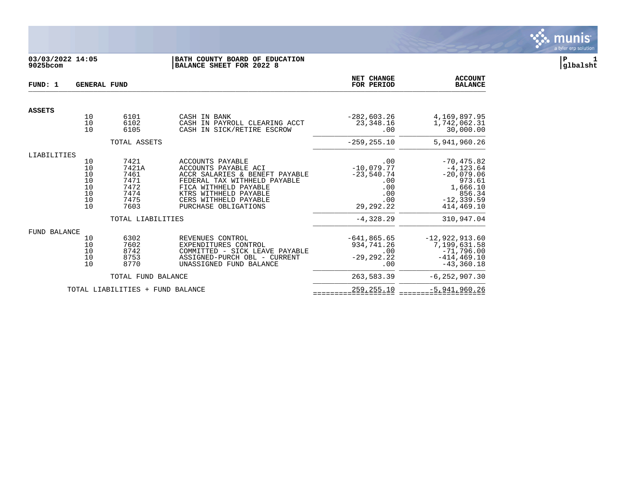

# **03/03/2022 14:05 |BATH COUNTY BOARD OF EDUCATION |P 1 9025bcom |BALANCE SHEET FOR 2022 8 |glbalsht**

| FUND: 1       | <b>GENERAL FUND</b>                          |                                                               |                                                                                                                                                                                                               | NET CHANGE<br>FOR PERIOD                                                       | <b>ACCOUNT</b><br><b>BALANCE</b>                                                                             |
|---------------|----------------------------------------------|---------------------------------------------------------------|---------------------------------------------------------------------------------------------------------------------------------------------------------------------------------------------------------------|--------------------------------------------------------------------------------|--------------------------------------------------------------------------------------------------------------|
| <b>ASSETS</b> |                                              |                                                               |                                                                                                                                                                                                               |                                                                                |                                                                                                              |
|               | 10<br>10<br>10                               | 6101<br>6102<br>6105                                          | CASH IN BANK<br>CASH IN PAYROLL CLEARING ACCT<br>CASH IN SICK/RETIRE ESCROW                                                                                                                                   | $-282,603.26$<br>23,348.16<br>.00                                              | 4,169,897.95<br>1,742,062.31<br>30,000.00                                                                    |
|               |                                              | TOTAL ASSETS                                                  |                                                                                                                                                                                                               | $-259, 255.10$                                                                 | 5,941,960.26                                                                                                 |
| LIABILITIES   |                                              |                                                               |                                                                                                                                                                                                               |                                                                                |                                                                                                              |
|               | 10<br>10<br>10<br>10<br>10<br>10<br>10<br>10 | 7421<br>7421A<br>7461<br>7471<br>7472<br>7474<br>7475<br>7603 | ACCOUNTS PAYABLE<br>ACCOUNTS PAYABLE ACI<br>ACCR SALARIES & BENEFT PAYABLE<br>FEDERAL TAX WITHHELD PAYABLE<br>FICA WITHHELD PAYABLE<br>KTRS WITHHELD PAYABLE<br>CERS WITHHELD PAYABLE<br>PURCHASE OBLIGATIONS | .00<br>$-10,079.77$<br>$-23,540.74$<br>.00<br>.00<br>.00<br>.00<br>29, 292. 22 | $-70, 475.82$<br>$-4, 123.64$<br>$-20,079.06$<br>973.61<br>1,666.10<br>856.34<br>$-12, 339.59$<br>414,469.10 |
|               |                                              | TOTAL LIABILITIES                                             |                                                                                                                                                                                                               | $-4,328.29$                                                                    | 310,947.04                                                                                                   |
| FUND BALANCE  |                                              |                                                               |                                                                                                                                                                                                               |                                                                                |                                                                                                              |
|               | 10<br>10<br>10<br>10<br>10                   | 6302<br>7602<br>8742<br>8753<br>8770                          | REVENUES CONTROL<br>EXPENDITURES CONTROL<br>COMMITTED - SICK LEAVE PAYABLE<br>ASSIGNED-PURCH OBL - CURRENT<br>UNASSIGNED FUND BALANCE                                                                         | $-641, 865.65$<br>934,741.26<br>.00<br>$-29, 292, 22$<br>.00                   | $-12,922,913.60$<br>7,199,631.58<br>$-71,796.00$<br>$-414, 469.10$<br>$-43, 360.18$                          |
|               |                                              | TOTAL FUND BALANCE                                            |                                                                                                                                                                                                               | 263,583.39                                                                     | $-6, 252, 907.30$                                                                                            |
|               |                                              | TOTAL LIABILITIES + FUND BALANCE                              |                                                                                                                                                                                                               | 259,255.10                                                                     | $-5,941,960.26$                                                                                              |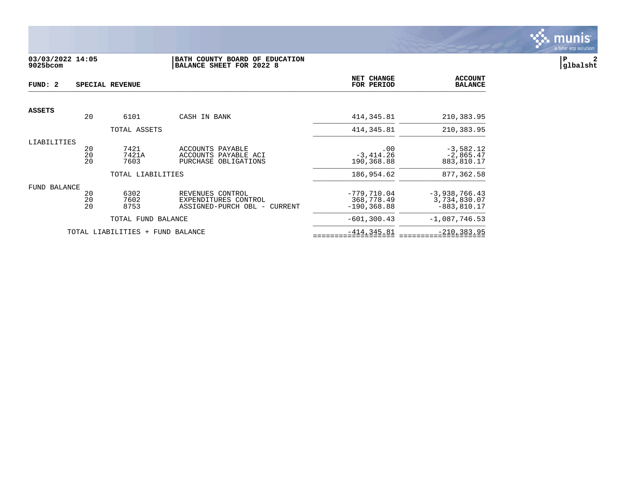

# **03/03/2022 14:05 |BATH COUNTY BOARD OF EDUCATION |P 2 9025bcom |BALANCE SHEET FOR 2022 8 |glbalsht**

| FUND: 2       | SPECIAL REVENUE |                                  |                                                                          |                                               | <b>ACCOUNT</b><br><b>BALANCE</b>                  |
|---------------|-----------------|----------------------------------|--------------------------------------------------------------------------|-----------------------------------------------|---------------------------------------------------|
|               |                 |                                  |                                                                          |                                               |                                                   |
| <b>ASSETS</b> | 20              | 6101                             | CASH IN BANK                                                             | 414, 345.81                                   | 210,383.95                                        |
|               |                 | TOTAL ASSETS                     |                                                                          | 414, 345.81                                   | 210,383.95                                        |
| LIABILITIES   | 20<br>20<br>20  | 7421<br>7421A<br>7603            | ACCOUNTS PAYABLE<br>ACCOUNTS PAYABLE ACI<br>PURCHASE OBLIGATIONS         | .00<br>$-3,414.26$<br>190,368.88              | $-3,582.12$<br>$-2,865.47$<br>883,810.17          |
|               |                 | TOTAL LIABILITIES                |                                                                          | 186,954.62                                    | 877,362.58                                        |
| FUND BALANCE  | 20<br>20<br>20  | 6302<br>7602<br>8753             | REVENUES CONTROL<br>EXPENDITURES CONTROL<br>ASSIGNED-PURCH OBL - CURRENT | $-779,710.04$<br>368,778.49<br>$-190, 368.88$ | $-3,938,766.43$<br>3,734,830.07<br>$-883, 810.17$ |
|               |                 | TOTAL FUND BALANCE               |                                                                          | $-601, 300.43$                                | $-1,087,746.53$                                   |
|               |                 | TOTAL LIABILITIES + FUND BALANCE |                                                                          | $-414, 345.81$                                | $-210, 383.95$                                    |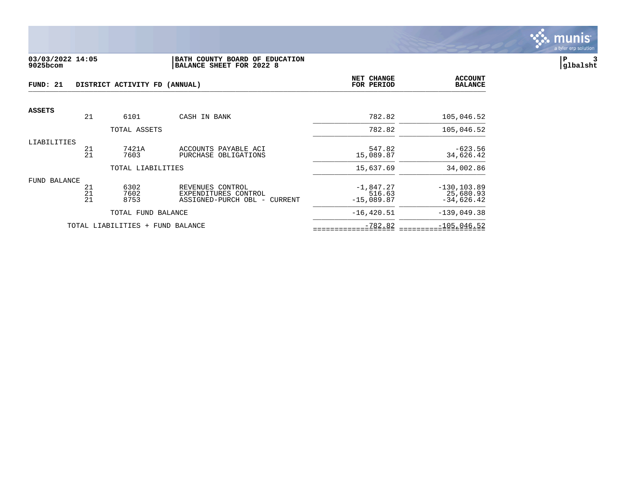

#### **03/03/2022 14:05 |BATH COUNTY BOARD OF EDUCATION |P 3 9025bcom |BALANCE SHEET FOR 2022 8 |glbalsht**

| FUND: 21<br>DISTRICT ACTIVITY FD (ANNUAL) |                |                                  |                                                                          | NET CHANGE<br>FOR PERIOD              | <b>ACCOUNT</b><br><b>BALANCE</b>            |
|-------------------------------------------|----------------|----------------------------------|--------------------------------------------------------------------------|---------------------------------------|---------------------------------------------|
| <b>ASSETS</b>                             |                |                                  |                                                                          |                                       |                                             |
|                                           | 21             | 6101                             | CASH IN BANK                                                             | 782.82                                | 105,046.52                                  |
|                                           |                | TOTAL ASSETS                     |                                                                          | 782.82                                | 105,046.52                                  |
| LIABILITIES                               | 21<br>21       | 7421A<br>7603                    | ACCOUNTS PAYABLE ACI<br>PURCHASE OBLIGATIONS                             | 547.82<br>15,089.87                   | $-623.56$<br>34,626.42                      |
|                                           |                | TOTAL LIABILITIES                |                                                                          | 15,637.69                             | 34,002.86                                   |
| FUND BALANCE                              | 21<br>21<br>21 | 6302<br>7602<br>8753             | REVENUES CONTROL<br>EXPENDITURES CONTROL<br>ASSIGNED-PURCH OBL - CURRENT | $-1,847.27$<br>516.63<br>$-15,089.87$ | $-130, 103.89$<br>25,680.93<br>$-34,626.42$ |
|                                           |                | TOTAL FUND BALANCE               |                                                                          | $-16, 420.51$                         | $-139,049.38$                               |
|                                           |                | TOTAL LIABILITIES + FUND BALANCE |                                                                          | $-782.82$                             | $-105,046.52$                               |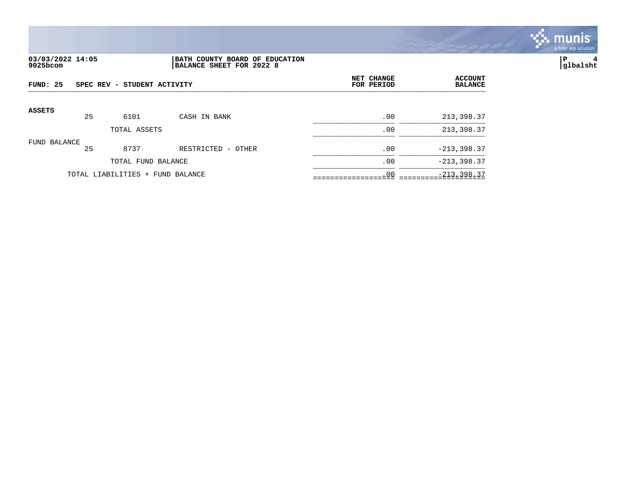

# **03/03/2022 14:05 |BATH COUNTY BOARD OF EDUCATION |P 4 9025bcom |BALANCE SHEET FOR 2022 8 |glbalsht**

| FUND: 25      |    | SPEC REV - STUDENT ACTIVITY      |                    | NET CHANGE<br>FOR PERIOD | <b>ACCOUNT</b><br><b>BALANCE</b> |
|---------------|----|----------------------------------|--------------------|--------------------------|----------------------------------|
| <b>ASSETS</b> | 25 | 6101                             | CASH IN BANK       | .00                      | 213,398.37                       |
|               |    | TOTAL ASSETS                     |                    | .00                      | 213,398.37                       |
| FUND BALANCE  | 25 | 8737                             | RESTRICTED - OTHER | .00                      | $-213,398.37$                    |
|               |    | TOTAL FUND BALANCE               |                    | .00                      | $-213, 398.37$                   |
|               |    | TOTAL LIABILITIES + FUND BALANCE |                    | .00                      | $-213, 398.37$                   |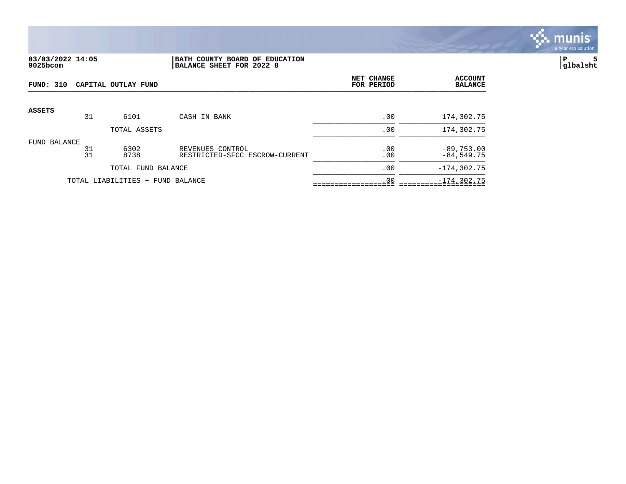

#### **03/03/2022 14:05 |BATH COUNTY BOARD OF EDUCATION |P 5 9025bcom |BALANCE SHEET FOR 2022 8 |glbalsht**

| FUND: 310     |          | CAPITAL OUTLAY FUND              |                                                    | NET CHANGE<br>FOR PERIOD | <b>ACCOUNT</b><br><b>BALANCE</b> |
|---------------|----------|----------------------------------|----------------------------------------------------|--------------------------|----------------------------------|
| <b>ASSETS</b> |          |                                  |                                                    |                          |                                  |
|               | 31       | 6101                             | CASH IN BANK                                       | .00                      | 174,302.75                       |
|               |          | TOTAL ASSETS                     |                                                    | .00                      | 174,302.75                       |
| FUND BALANCE  | 31<br>31 | 6302<br>8738                     | REVENUES CONTROL<br>RESTRICTED-SFCC ESCROW-CURRENT | .00<br>.00               | $-89,753.00$<br>$-84,549.75$     |
|               |          | TOTAL FUND BALANCE               |                                                    | .00                      | $-174, 302.75$                   |
|               |          | TOTAL LIABILITIES + FUND BALANCE |                                                    | .00                      | $-174, 302.75$                   |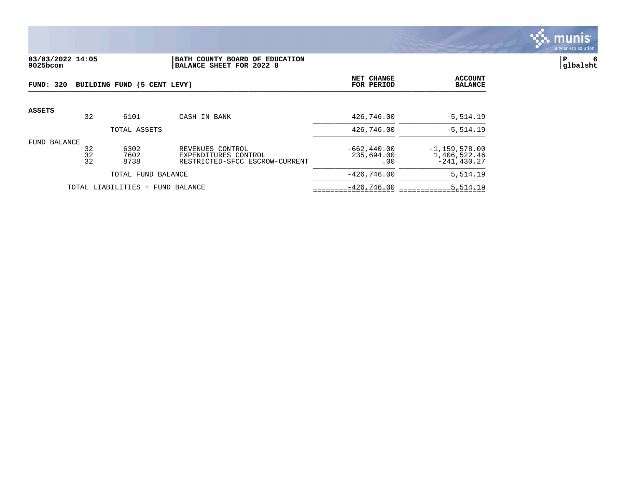

## **03/03/2022 14:05 |BATH COUNTY BOARD OF EDUCATION |P 6 9025bcom |BALANCE SHEET FOR 2022 8 |glbalsht**

| FUND: 320     |                | BUILDING FUND (5 CENT LEVY)      |                                                                            | NET CHANGE<br>FOR PERIOD           | <b>ACCOUNT</b><br><b>BALANCE</b>                    |
|---------------|----------------|----------------------------------|----------------------------------------------------------------------------|------------------------------------|-----------------------------------------------------|
| <b>ASSETS</b> | 32             | 6101                             | CASH IN BANK                                                               | 426,746.00                         | $-5,514.19$                                         |
|               |                | TOTAL ASSETS                     |                                                                            | 426,746.00                         | $-5,514.19$                                         |
| FUND BALANCE  | 32<br>32<br>32 | 6302<br>7602<br>8738             | REVENUES CONTROL<br>EXPENDITURES CONTROL<br>RESTRICTED-SFCC ESCROW-CURRENT | $-662.440.00$<br>235,694.00<br>.00 | $-1, 159, 578.00$<br>1,406,522.46<br>$-241, 430.27$ |
|               |                | TOTAL FUND BALANCE               |                                                                            | $-426.746.00$                      | 5,514.19                                            |
|               |                | TOTAL LIABILITIES + FUND BALANCE |                                                                            | $-426.746.00$                      | 5,514.19                                            |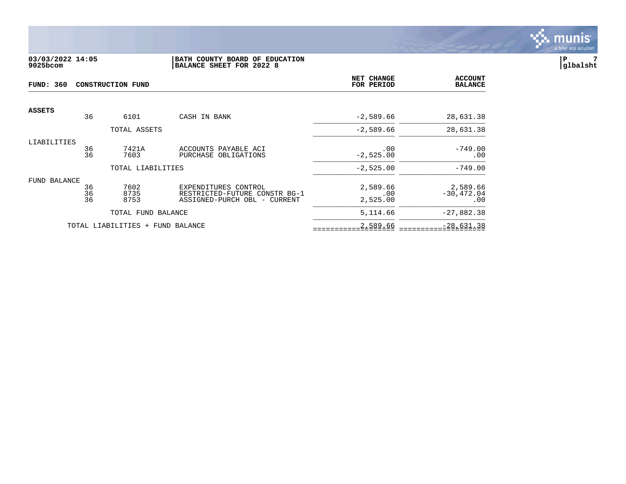

# **03/03/2022 14:05 |BATH COUNTY BOARD OF EDUCATION |P 7 9025bcom |BALANCE SHEET FOR 2022 8 |glbalsht**

| <b>FUND: 360</b><br><b>CONSTRUCTION FUND</b> |                |                                  | NET CHANGE<br>FOR PERIOD                                                              | <b>ACCOUNT</b><br><b>BALANCE</b> |                                  |
|----------------------------------------------|----------------|----------------------------------|---------------------------------------------------------------------------------------|----------------------------------|----------------------------------|
| <b>ASSETS</b>                                | 36             | 6101                             | CASH IN BANK                                                                          | $-2,589.66$                      | 28,631.38                        |
|                                              |                | TOTAL ASSETS                     |                                                                                       | $-2,589.66$                      | 28,631.38                        |
| LIABILITIES                                  | 36<br>36       | 7421A<br>7603                    | ACCOUNTS PAYABLE ACI<br>PURCHASE OBLIGATIONS                                          | .00<br>$-2,525.00$               | $-749.00$<br>.00                 |
|                                              |                | TOTAL LIABILITIES                |                                                                                       | $-2,525.00$                      | $-749.00$                        |
| FUND BALANCE                                 | 36<br>36<br>36 | 7602<br>8735<br>8753             | EXPENDITURES CONTROL<br>RESTRICTED-FUTURE CONSTR BG-1<br>ASSIGNED-PURCH OBL - CURRENT | 2,589.66<br>.00<br>2,525.00      | 2,589.66<br>$-30, 472.04$<br>.00 |
|                                              |                | TOTAL FUND BALANCE               |                                                                                       | 5,114.66                         | $-27,882.38$                     |
|                                              |                | TOTAL LIABILITIES + FUND BALANCE |                                                                                       | 2,589.66                         | $-28,631.38$                     |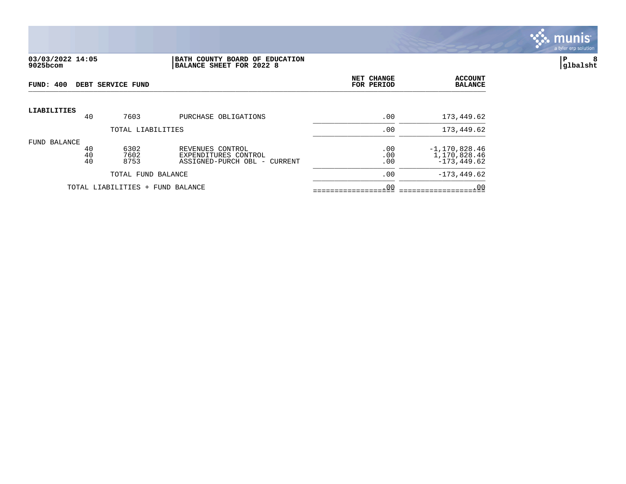

#### **03/03/2022 14:05 |BATH COUNTY BOARD OF EDUCATION |P 8 9025bcom |BALANCE SHEET FOR 2022 8 |glbalsht**

| FUND: 400          |                | DEBT SERVICE FUND                |                                                                          | NET CHANGE<br>FOR PERIOD | <b>ACCOUNT</b><br><b>BALANCE</b>                    |
|--------------------|----------------|----------------------------------|--------------------------------------------------------------------------|--------------------------|-----------------------------------------------------|
| <b>LIABILITIES</b> | 40             | 7603                             | PURCHASE OBLIGATIONS                                                     | .00                      | 173,449.62                                          |
|                    |                | TOTAL LIABILITIES                |                                                                          | .00                      | 173,449.62                                          |
| FUND BALANCE       | 40<br>40<br>40 | 6302<br>7602<br>8753             | REVENUES CONTROL<br>EXPENDITURES CONTROL<br>ASSIGNED-PURCH OBL - CURRENT | .00<br>.00<br>.00        | $-1, 170, 828.46$<br>1,170,828.46<br>$-173, 449.62$ |
|                    |                | TOTAL FUND BALANCE               |                                                                          | .00                      | $-173, 449.62$                                      |
|                    |                | TOTAL LIABILITIES + FUND BALANCE |                                                                          | .00                      | .00                                                 |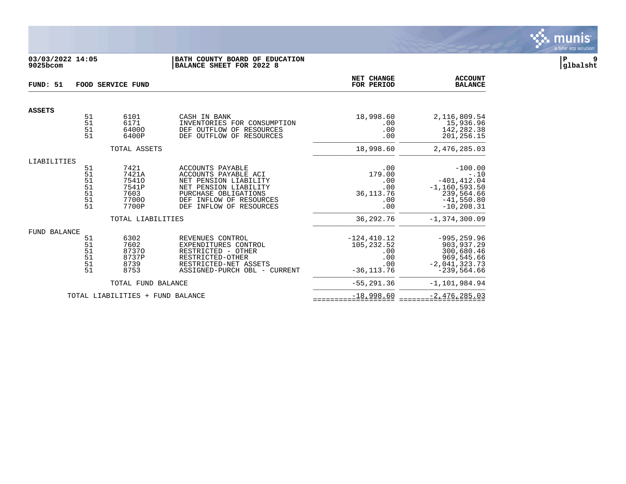

## **03/03/2022 14:05 |BATH COUNTY BOARD OF EDUCATION |P 9 9025bcom |BALANCE SHEET FOR 2022 8 |glbalsht**

| FUND: 51            | FOOD SERVICE FUND                      |                                                           |                                                                                                                                                                                       | NET CHANGE<br>FOR PERIOD                                            | <b>ACCOUNT</b><br><b>BALANCE</b>                                                                          |
|---------------------|----------------------------------------|-----------------------------------------------------------|---------------------------------------------------------------------------------------------------------------------------------------------------------------------------------------|---------------------------------------------------------------------|-----------------------------------------------------------------------------------------------------------|
| <b>ASSETS</b>       |                                        |                                                           |                                                                                                                                                                                       |                                                                     |                                                                                                           |
|                     | 51<br>51<br>51<br>51                   | 6101<br>6171<br>64000<br>6400P                            | CASH IN BANK<br>INVENTORIES FOR CONSUMPTION<br>DEF OUTFLOW OF<br>RESOURCES<br>DEF OUTFLOW OF<br>RESOURCES                                                                             | 18,998.60<br>.00<br>.00<br>.00                                      | 2,116,809.54<br>15,936.96<br>142,282.38<br>201,256.15                                                     |
|                     |                                        | TOTAL ASSETS                                              |                                                                                                                                                                                       | 18,998.60                                                           | 2,476,285.03                                                                                              |
| LIABILITIES         | 51<br>51<br>51<br>51<br>51<br>51<br>51 | 7421<br>7421A<br>75410<br>7541P<br>7603<br>77000<br>7700P | ACCOUNTS PAYABLE<br>ACCOUNTS PAYABLE ACI<br>NET PENSION LIABILITY<br>NET PENSION LIABILITY<br>PURCHASE OBLIGATIONS<br>INFLOW OF RESOURCES<br><b>DEF</b><br>DEF<br>INFLOW OF RESOURCES | .00<br>179.00<br>.00<br>.00<br>36, 113.76<br>.00<br>.00             | $-100.00$<br>$-.10$<br>$-401, 412.04$<br>$-1, 160, 593.50$<br>239,564.66<br>$-41,550.80$<br>$-10, 208.31$ |
|                     |                                        | TOTAL LIABILITIES                                         |                                                                                                                                                                                       | 36,292.76                                                           | $-1, 374, 300.09$                                                                                         |
| <b>FUND BALANCE</b> | 51<br>51<br>51<br>51<br>51<br>51       | 6302<br>7602<br>87370<br>8737P<br>8739<br>8753            | REVENUES CONTROL<br>EXPENDITURES CONTROL<br>RESTRICTED - OTHER<br>RESTRICTED-OTHER<br>RESTRICTED-NET ASSETS<br>ASSIGNED-PURCH OBL - CURRENT                                           | $-124, 410.12$<br>105, 232.52<br>.00<br>.00<br>.00<br>$-36, 113.76$ | $-995, 259.96$<br>903, 937.29<br>300,680.46<br>969,545.66<br>$-2,041,323.73$<br>$-239,564.66$             |
|                     |                                        | TOTAL FUND BALANCE                                        |                                                                                                                                                                                       | $-55, 291, 36$                                                      | $-1, 101, 984.94$                                                                                         |
|                     |                                        | TOTAL LIABILITIES + FUND BALANCE                          |                                                                                                                                                                                       | $-18,998.60$                                                        | $-2,476,285.03$                                                                                           |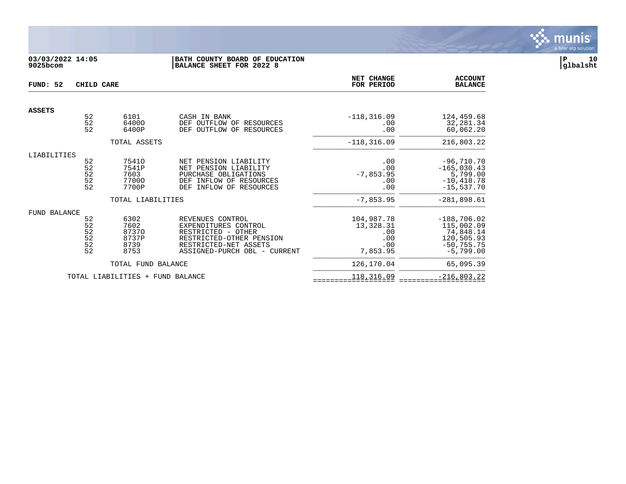

# **03/03/2022 14:05 |BATH COUNTY BOARD OF EDUCATION |P 10 9025bcom |BALANCE SHEET FOR 2022 8 |glbalsht**

| FUND: 52      | CHILD CARE                                    |                                                |                                                                                                                                                     | NET CHANGE<br>FOR PERIOD                                 | <b>ACCOUNT</b><br><b>BALANCE</b>                                                       |
|---------------|-----------------------------------------------|------------------------------------------------|-----------------------------------------------------------------------------------------------------------------------------------------------------|----------------------------------------------------------|----------------------------------------------------------------------------------------|
| <b>ASSETS</b> |                                               |                                                |                                                                                                                                                     |                                                          |                                                                                        |
|               | $\begin{array}{c} 52 \\ 52 \end{array}$<br>52 | 6101<br>64000<br>6400P                         | CASH IN BANK<br>DEF OUTFLOW OF RESOURCES<br>OUTFLOW OF RESOURCES<br><b>DEF</b>                                                                      | $-118, 316.09$<br>.00<br>.00                             | 124,459.68<br>32,281.34<br>60,062.20                                                   |
|               |                                               | TOTAL ASSETS                                   |                                                                                                                                                     | $-118, 316.09$                                           | 216,803.22                                                                             |
| LIABILITIES   | 52<br>$\frac{52}{52}$<br>$\frac{52}{52}$      | 75410<br>7541P<br>7603<br>77000<br>7700P       | NET PENSION LIABILITY<br>NET PENSION LIABILITY<br>PURCHASE OBLIGATIONS<br>INFLOW OF RESOURCES<br>DEF<br>INFLOW OF RESOURCES<br>DEF                  | .00<br>.00<br>$-7,853.95$<br>.00<br>.00                  | $-96,710.70$<br>$-165,030.43$<br>5,799.00<br>$-10, 418.78$<br>$-15,537.70$             |
|               |                                               | TOTAL LIABILITIES                              |                                                                                                                                                     | $-7,853.95$                                              | $-281,898.61$                                                                          |
| FUND BALANCE  | 52<br>52<br>52<br>52<br>$\frac{5}{2}$         | 6302<br>7602<br>87370<br>8737P<br>8739<br>8753 | REVENUES CONTROL<br>EXPENDITURES CONTROL<br>RESTRICTED - OTHER<br>RESTRICTED-OTHER PENSION<br>RESTRICTED-NET ASSETS<br>ASSIGNED-PURCH OBL - CURRENT | 104,987.78<br>13,328.31<br>.00<br>.00<br>.00<br>7,853.95 | $-188,706.02$<br>115,002.09<br>74,848.14<br>120,505.93<br>$-50, 755.75$<br>$-5,799.00$ |
|               |                                               | TOTAL FUND BALANCE                             |                                                                                                                                                     | 126,170.04                                               | 65,095.39                                                                              |
|               |                                               | TOTAL LIABILITIES +                            | FUND BALANCE                                                                                                                                        | 118,316.09                                               | $-216,803.22$                                                                          |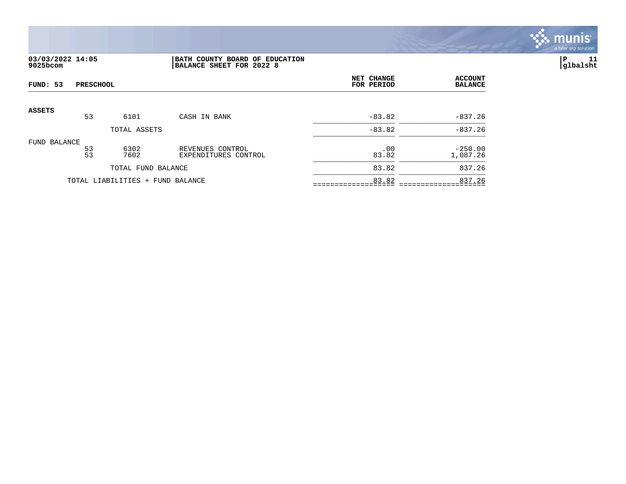

# **03/03/2022 14:05 |BATH COUNTY BOARD OF EDUCATION |P 11 9025bcom |BALANCE SHEET FOR 2022 8 |glbalsht**

| FUND: 53      | <b>PRESCHOOL</b> |                                  |                                          | NET CHANGE<br>FOR PERIOD | <b>ACCOUNT</b><br><b>BALANCE</b> |
|---------------|------------------|----------------------------------|------------------------------------------|--------------------------|----------------------------------|
| <b>ASSETS</b> |                  |                                  |                                          |                          |                                  |
|               | 53               | 6101                             | CASH IN BANK                             | $-83.82$                 | $-837.26$                        |
|               |                  | TOTAL ASSETS                     |                                          | $-83.82$                 | $-837.26$                        |
| FUND BALANCE  | 53<br>53         | 6302<br>7602                     | REVENUES CONTROL<br>EXPENDITURES CONTROL | .00<br>83.82             | $-250.00$<br>1,087.26            |
|               |                  | TOTAL FUND BALANCE               |                                          | 83.82                    | 837.26                           |
|               |                  | TOTAL LIABILITIES + FUND BALANCE |                                          | 83.82                    | 837.26                           |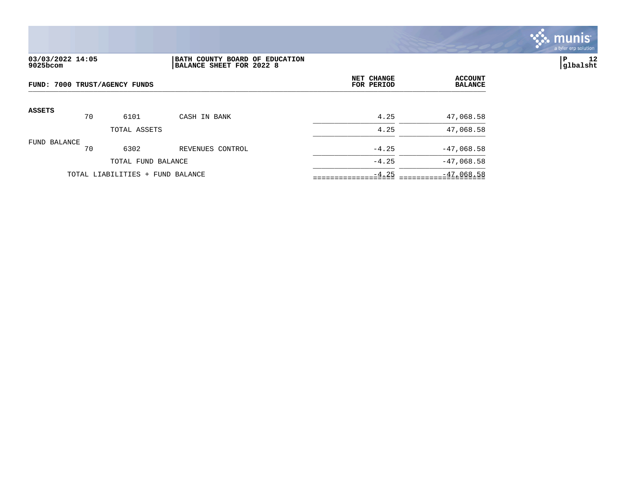

# **03/03/2022 14:05 |BATH COUNTY BOARD OF EDUCATION |P 12 9025bcom |BALANCE SHEET FOR 2022 8 |glbalsht**

| FUND: 7000 TRUST/AGENCY FUNDS |    |                                  |                  | NET CHANGE<br>FOR PERIOD | <b>ACCOUNT</b><br><b>BALANCE</b> |
|-------------------------------|----|----------------------------------|------------------|--------------------------|----------------------------------|
| <b>ASSETS</b>                 | 70 | 6101                             | CASH IN BANK     | 4.25                     | 47,068.58                        |
|                               |    | TOTAL ASSETS                     |                  | 4.25                     | 47,068.58                        |
| FUND BALANCE                  | 70 | 6302                             | REVENUES CONTROL | $-4.25$                  | $-47,068.58$                     |
|                               |    | TOTAL FUND BALANCE               |                  | $-4.25$                  | $-47,068.58$                     |
|                               |    | TOTAL LIABILITIES + FUND BALANCE |                  | $-4.25$                  | $-47,068.58$                     |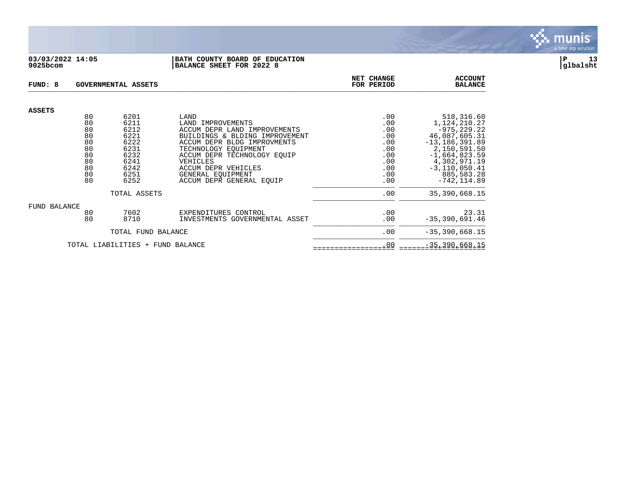

#### **03/03/2022 14:05 |BATH COUNTY BOARD OF EDUCATION |P 13 9025bcom |BALANCE SHEET FOR 2022 8 |glbalsht**

| FUND: 8<br>GOVERNMENTAL ASSETS   |          |              |                                                                | NET CHANGE<br>FOR PERIOD | <b>ACCOUNT</b><br><b>BALANCE</b> |
|----------------------------------|----------|--------------|----------------------------------------------------------------|--------------------------|----------------------------------|
| <b>ASSETS</b>                    |          |              |                                                                |                          |                                  |
|                                  | 80       | 6201         | LAND                                                           | .00                      | 518,316.60                       |
|                                  | 80<br>80 | 6211<br>6212 | LAND IMPROVEMENTS                                              | .00                      | 1,124,210.27                     |
|                                  | 80       | 6221         | ACCUM DEPR LAND IMPROVEMENTS<br>BUILDINGS & BLDING IMPROVEMENT | .00<br>.00               | $-975, 229.22$<br>46,087,605.31  |
|                                  | 80       | 6222         | ACCUM DEPR BLDG IMPROVMENTS                                    | .00                      | $-13, 186, 391.89$               |
|                                  | 80       | 6231         | TECHNOLOGY EOUIPMENT                                           | .00                      | 2,150,591.50                     |
|                                  | 80       | 6232         | ACCUM DEPR TECHNOLOGY EOUIP                                    | .00                      | $-1,664,823.59$                  |
|                                  | 80       | 6241         | VEHICLES                                                       | .00                      | 4,302,971.19                     |
|                                  | 80       | 6242         | ACCUM DEPR VEHICLES                                            | .00                      | $-3, 110, 050.41$                |
|                                  | 80       | 6251         | GENERAL EOUIPMENT                                              | .00                      | 885,583.28                       |
|                                  | 80       | 6252         | ACCUM DEPR GENERAL EOUIP                                       | .00                      | $-742, 114.89$                   |
| TOTAL ASSETS                     |          |              |                                                                | .00                      | 35, 390, 668. 15                 |
| FUND BALANCE                     |          |              |                                                                |                          |                                  |
|                                  | 80       | 7602         | EXPENDITURES CONTROL                                           | .00                      | 23.31                            |
|                                  | 80       | 8710         | INVESTMENTS GOVERNMENTAL ASSET                                 | .00                      | $-35, 390, 691.46$               |
| TOTAL FUND BALANCE               |          |              |                                                                | .00                      | $-35, 390, 668.15$               |
| TOTAL LIABILITIES + FUND BALANCE |          |              |                                                                | .00                      | $-35, 390, 668.15$               |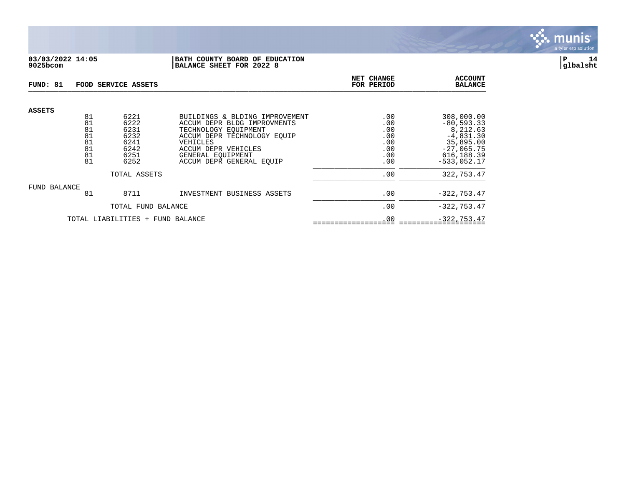

## **03/03/2022 14:05 |BATH COUNTY BOARD OF EDUCATION |P 14 9025bcom |BALANCE SHEET FOR 2022 8 |glbalsht**

| FUND: 81                         |                            | FOOD SERVICE ASSETS                  |                                                                                                                                  | NET CHANGE<br>FOR PERIOD        | <b>ACCOUNT</b><br><b>BALANCE</b>                                    |
|----------------------------------|----------------------------|--------------------------------------|----------------------------------------------------------------------------------------------------------------------------------|---------------------------------|---------------------------------------------------------------------|
| <b>ASSETS</b>                    | 81<br>81<br>81<br>81<br>81 | 6221<br>6222<br>6231<br>6232<br>6241 | BUILDINGS & BLDING IMPROVEMENT<br>ACCUM DEPR BLDG IMPROVMENTS<br>TECHNOLOGY EOUIPMENT<br>ACCUM DEPR TECHNOLOGY EQUIP<br>VEHICLES | .00<br>.00<br>.00<br>.00<br>.00 | 308,000.00<br>$-80, 593.33$<br>8,212.63<br>$-4,831.30$<br>35,895.00 |
|                                  | 81<br>81<br>81             | 6242<br>6251<br>6252                 | ACCUM DEPR VEHICLES<br>GENERAL EOUIPMENT<br>ACCUM DEPR GENERAL EQUIP                                                             | .00<br>.00<br>.00               | $-27,065.75$<br>616, 188.39<br>$-533,052.17$                        |
| TOTAL ASSETS                     |                            |                                      | .00                                                                                                                              | 322,753.47                      |                                                                     |
| FUND BALANCE                     | 81                         | 8711                                 | INVESTMENT BUSINESS ASSETS                                                                                                       | .00                             | $-322, 753.47$                                                      |
| TOTAL FUND BALANCE               |                            |                                      |                                                                                                                                  | .00                             | $-322, 753.47$                                                      |
| TOTAL LIABILITIES + FUND BALANCE |                            |                                      |                                                                                                                                  | .00                             | $-322, 753.47$                                                      |